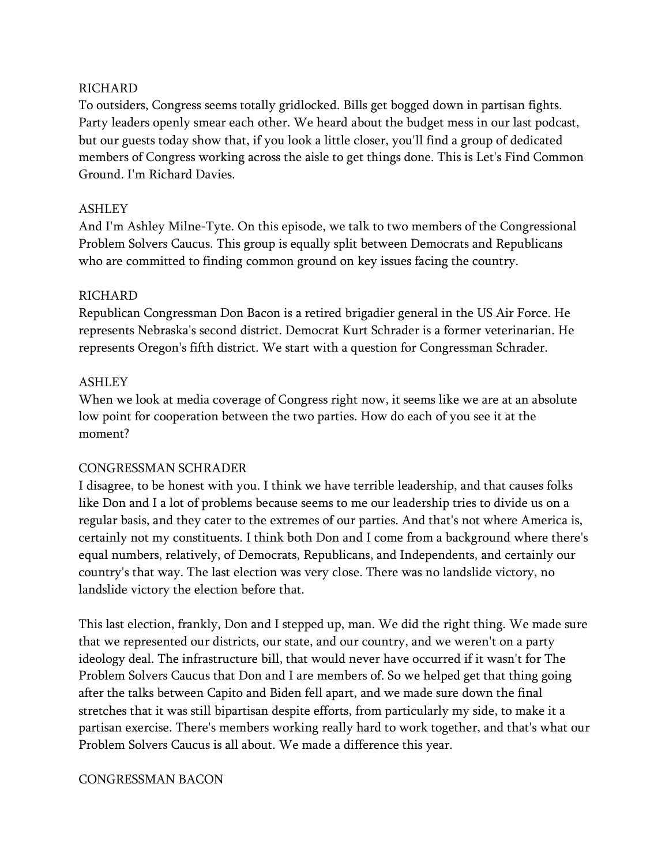## RICHARD

To outsiders, Congress seems totally gridlocked. Bills get bogged down in partisan fights. Party leaders openly smear each other. We heard about the budget mess in our last podcast, but our guests today show that, if you look a little closer, you'll find a group of dedicated members of Congress working across the aisle to get things done. This is Let's Find Common Ground. I'm Richard Davies.

### ASHLEY

And I'm Ashley Milne-Tyte. On this episode, we talk to two members of the Congressional Problem Solvers Caucus. This group is equally split between Democrats and Republicans who are committed to finding common ground on key issues facing the country.

### RICHARD

Republican Congressman Don Bacon is a retired brigadier general in the US Air Force. He represents Nebraska's second district. Democrat Kurt Schrader is a former veterinarian. He represents Oregon's fifth district. We start with a question for Congressman Schrader.

### ASHLEY

When we look at media coverage of Congress right now, it seems like we are at an absolute low point for cooperation between the two parties. How do each of you see it at the moment?

### CONGRESSMAN SCHRADER

I disagree, to be honest with you. I think we have terrible leadership, and that causes folks like Don and I a lot of problems because seems to me our leadership tries to divide us on a regular basis, and they cater to the extremes of our parties. And that's not where America is, certainly not my constituents. I think both Don and I come from a background where there's equal numbers, relatively, of Democrats, Republicans, and Independents, and certainly our country's that way. The last election was very close. There was no landslide victory, no landslide victory the election before that.

This last election, frankly, Don and I stepped up, man. We did the right thing. We made sure that we represented our districts, our state, and our country, and we weren't on a party ideology deal. The infrastructure bill, that would never have occurred if it wasn't for The Problem Solvers Caucus that Don and I are members of. So we helped get that thing going after the talks between Capito and Biden fell apart, and we made sure down the final stretches that it was still bipartisan despite efforts, from particularly my side, to make it a partisan exercise. There's members working really hard to work together, and that's what our Problem Solvers Caucus is all about. We made a difference this year.

#### CONGRESSMAN BACON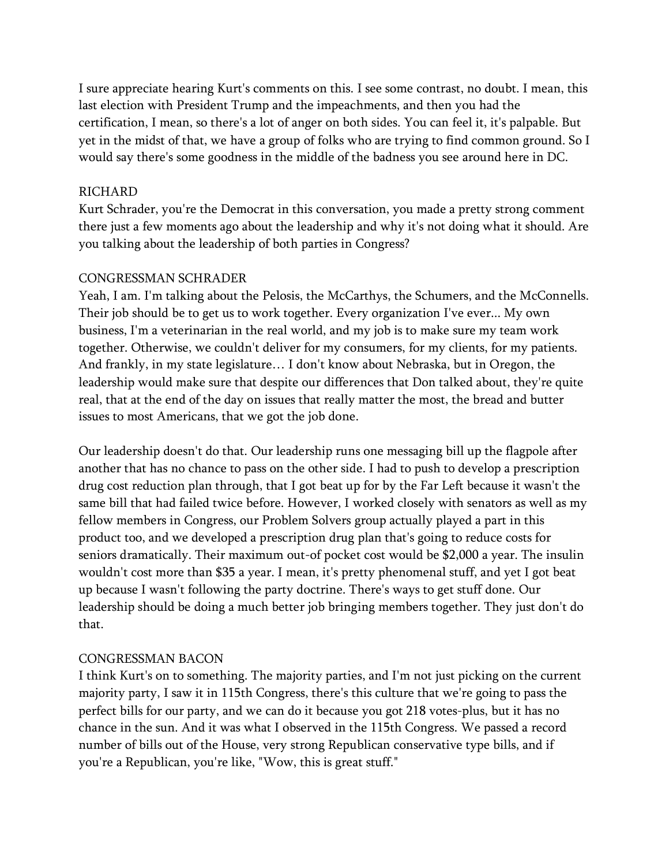I sure appreciate hearing Kurt's comments on this. I see some contrast, no doubt. I mean, this last election with President Trump and the impeachments, and then you had the certification, I mean, so there's a lot of anger on both sides. You can feel it, it's palpable. But yet in the midst of that, we have a group of folks who are trying to find common ground. So I would say there's some goodness in the middle of the badness you see around here in DC.

#### RICHARD

Kurt Schrader, you're the Democrat in this conversation, you made a pretty strong comment there just a few moments ago about the leadership and why it's not doing what it should. Are you talking about the leadership of both parties in Congress?

#### CONGRESSMAN SCHRADER

Yeah, I am. I'm talking about the Pelosis, the McCarthys, the Schumers, and the McConnells. Their job should be to get us to work together. Every organization I've ever... My own business, I'm a veterinarian in the real world, and my job is to make sure my team work together. Otherwise, we couldn't deliver for my consumers, for my clients, for my patients. And frankly, in my state legislature… I don't know about Nebraska, but in Oregon, the leadership would make sure that despite our differences that Don talked about, they're quite real, that at the end of the day on issues that really matter the most, the bread and butter issues to most Americans, that we got the job done.

Our leadership doesn't do that. Our leadership runs one messaging bill up the flagpole after another that has no chance to pass on the other side. I had to push to develop a prescription drug cost reduction plan through, that I got beat up for by the Far Left because it wasn't the same bill that had failed twice before. However, I worked closely with senators as well as my fellow members in Congress, our Problem Solvers group actually played a part in this product too, and we developed a prescription drug plan that's going to reduce costs for seniors dramatically. Their maximum out-of pocket cost would be \$2,000 a year. The insulin wouldn't cost more than \$35 a year. I mean, it's pretty phenomenal stuff, and yet I got beat up because I wasn't following the party doctrine. There's ways to get stuff done. Our leadership should be doing a much better job bringing members together. They just don't do that.

### CONGRESSMAN BACON

I think Kurt's on to something. The majority parties, and I'm not just picking on the current majority party, I saw it in 115th Congress, there's this culture that we're going to pass the perfect bills for our party, and we can do it because you got 218 votes-plus, but it has no chance in the sun. And it was what I observed in the 115th Congress. We passed a record number of bills out of the House, very strong Republican conservative type bills, and if you're a Republican, you're like, "Wow, this is great stuff."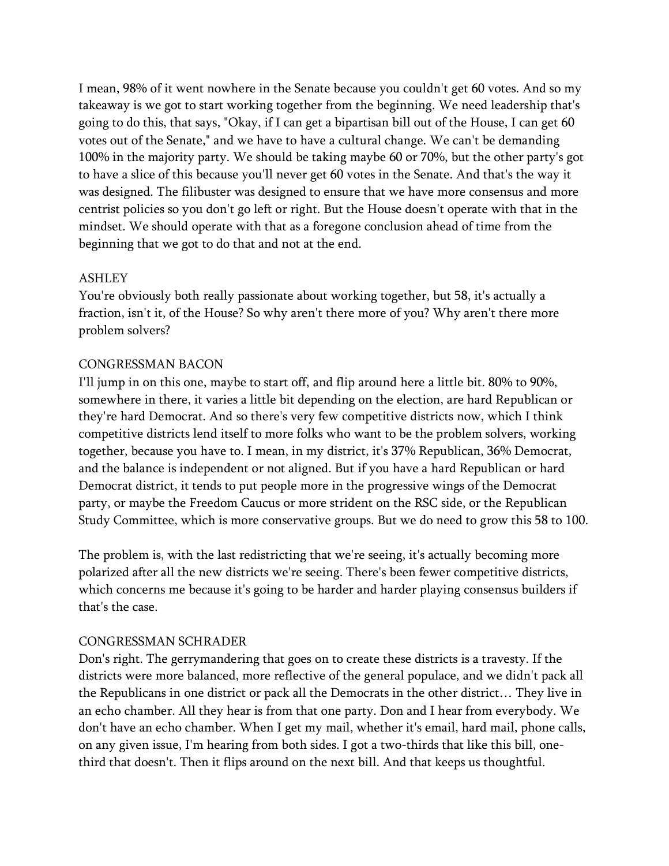I mean, 98% of it went nowhere in the Senate because you couldn't get 60 votes. And so my takeaway is we got to start working together from the beginning. We need leadership that's going to do this, that says, "Okay, if I can get a bipartisan bill out of the House, I can get 60 votes out of the Senate," and we have to have a cultural change. We can't be demanding 100% in the majority party. We should be taking maybe 60 or 70%, but the other party's got to have a slice of this because you'll never get 60 votes in the Senate. And that's the way it was designed. The filibuster was designed to ensure that we have more consensus and more centrist policies so you don't go left or right. But the House doesn't operate with that in the mindset. We should operate with that as a foregone conclusion ahead of time from the beginning that we got to do that and not at the end.

### ASHLEY

You're obviously both really passionate about working together, but 58, it's actually a fraction, isn't it, of the House? So why aren't there more of you? Why aren't there more problem solvers?

## CONGRESSMAN BACON

I'll jump in on this one, maybe to start off, and flip around here a little bit. 80% to 90%, somewhere in there, it varies a little bit depending on the election, are hard Republican or they're hard Democrat. And so there's very few competitive districts now, which I think competitive districts lend itself to more folks who want to be the problem solvers, working together, because you have to. I mean, in my district, it's 37% Republican, 36% Democrat, and the balance is independent or not aligned. But if you have a hard Republican or hard Democrat district, it tends to put people more in the progressive wings of the Democrat party, or maybe the Freedom Caucus or more strident on the RSC side, or the Republican Study Committee, which is more conservative groups. But we do need to grow this 58 to 100.

The problem is, with the last redistricting that we're seeing, it's actually becoming more polarized after all the new districts we're seeing. There's been fewer competitive districts, which concerns me because it's going to be harder and harder playing consensus builders if that's the case.

# CONGRESSMAN SCHRADER

Don's right. The gerrymandering that goes on to create these districts is a travesty. If the districts were more balanced, more reflective of the general populace, and we didn't pack all the Republicans in one district or pack all the Democrats in the other district… They live in an echo chamber. All they hear is from that one party. Don and I hear from everybody. We don't have an echo chamber. When I get my mail, whether it's email, hard mail, phone calls, on any given issue, I'm hearing from both sides. I got a two-thirds that like this bill, onethird that doesn't. Then it flips around on the next bill. And that keeps us thoughtful.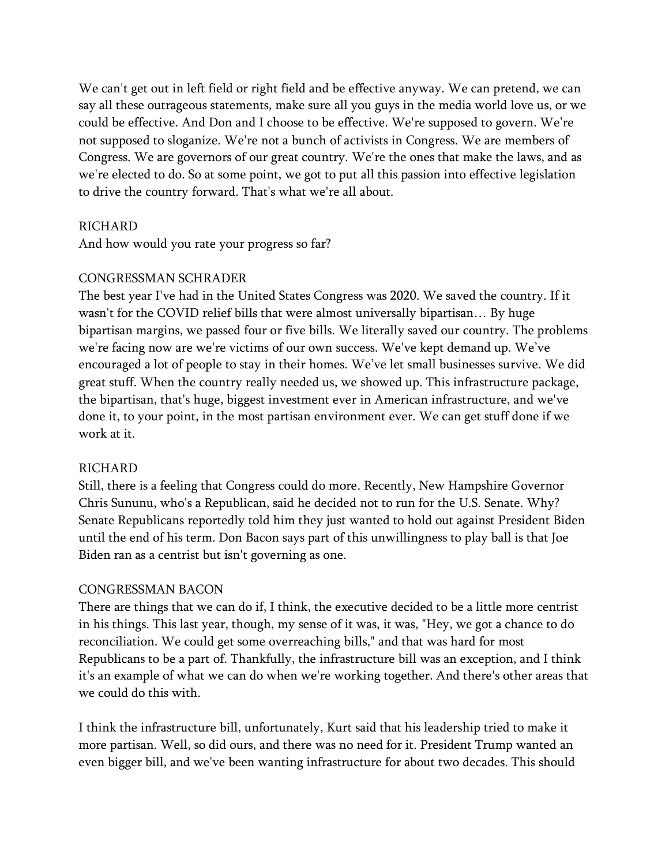We can't get out in left field or right field and be effective anyway. We can pretend, we can say all these outrageous statements, make sure all you guys in the media world love us, or we could be effective. And Don and I choose to be effective. We're supposed to govern. We're not supposed to sloganize. We're not a bunch of activists in Congress. We are members of Congress. We are governors of our great country. We're the ones that make the laws, and as we're elected to do. So at some point, we got to put all this passion into effective legislation to drive the country forward. That's what we're all about.

#### **RICHARD**

And how would you rate your progress so far?

#### CONGRESSMAN SCHRADER

The best year I've had in the United States Congress was 2020. We saved the country. If it wasn't for the COVID relief bills that were almost universally bipartisan… By huge bipartisan margins, we passed four or five bills. We literally saved our country. The problems we're facing now are we're victims of our own success. We've kept demand up. We've encouraged a lot of people to stay in their homes. We've let small businesses survive. We did great stuff. When the country really needed us, we showed up. This infrastructure package, the bipartisan, that's huge, biggest investment ever in American infrastructure, and we've done it, to your point, in the most partisan environment ever. We can get stuff done if we work at it.

#### RICHARD

Still, there is a feeling that Congress could do more. Recently, New Hampshire Governor Chris Sununu, who's a Republican, said he decided not to run for the U.S. Senate. Why? Senate Republicans reportedly told him they just wanted to hold out against President Biden until the end of his term. Don Bacon says part of this unwillingness to play ball is that Joe Biden ran as a centrist but isn't governing as one.

#### CONGRESSMAN BACON

There are things that we can do if, I think, the executive decided to be a little more centrist in his things. This last year, though, my sense of it was, it was, "Hey, we got a chance to do reconciliation. We could get some overreaching bills," and that was hard for most Republicans to be a part of. Thankfully, the infrastructure bill was an exception, and I think it's an example of what we can do when we're working together. And there's other areas that we could do this with.

I think the infrastructure bill, unfortunately, Kurt said that his leadership tried to make it more partisan. Well, so did ours, and there was no need for it. President Trump wanted an even bigger bill, and we've been wanting infrastructure for about two decades. This should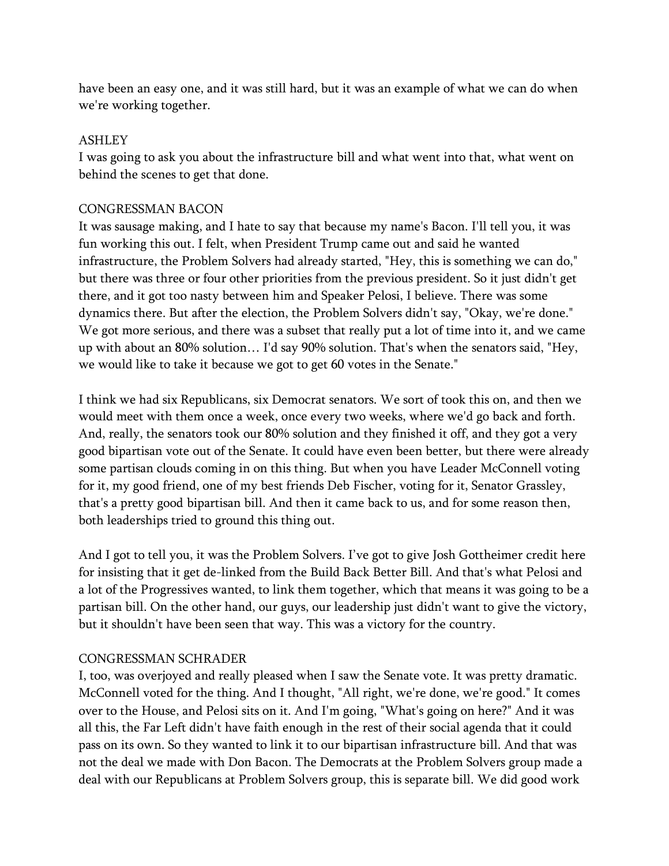have been an easy one, and it was still hard, but it was an example of what we can do when we're working together.

#### ASHLEY

I was going to ask you about the infrastructure bill and what went into that, what went on behind the scenes to get that done.

#### CONGRESSMAN BACON

It was sausage making, and I hate to say that because my name's Bacon. I'll tell you, it was fun working this out. I felt, when President Trump came out and said he wanted infrastructure, the Problem Solvers had already started, "Hey, this is something we can do," but there was three or four other priorities from the previous president. So it just didn't get there, and it got too nasty between him and Speaker Pelosi, I believe. There was some dynamics there. But after the election, the Problem Solvers didn't say, "Okay, we're done." We got more serious, and there was a subset that really put a lot of time into it, and we came up with about an 80% solution… I'd say 90% solution. That's when the senators said, "Hey, we would like to take it because we got to get 60 votes in the Senate."

I think we had six Republicans, six Democrat senators. We sort of took this on, and then we would meet with them once a week, once every two weeks, where we'd go back and forth. And, really, the senators took our 80% solution and they finished it off, and they got a very good bipartisan vote out of the Senate. It could have even been better, but there were already some partisan clouds coming in on this thing. But when you have Leader McConnell voting for it, my good friend, one of my best friends Deb Fischer, voting for it, Senator Grassley, that's a pretty good bipartisan bill. And then it came back to us, and for some reason then, both leaderships tried to ground this thing out.

And I got to tell you, it was the Problem Solvers. I've got to give Josh Gottheimer credit here for insisting that it get de-linked from the Build Back Better Bill. And that's what Pelosi and a lot of the Progressives wanted, to link them together, which that means it was going to be a partisan bill. On the other hand, our guys, our leadership just didn't want to give the victory, but it shouldn't have been seen that way. This was a victory for the country.

### CONGRESSMAN SCHRADER

I, too, was overjoyed and really pleased when I saw the Senate vote. It was pretty dramatic. McConnell voted for the thing. And I thought, "All right, we're done, we're good." It comes over to the House, and Pelosi sits on it. And I'm going, "What's going on here?" And it was all this, the Far Left didn't have faith enough in the rest of their social agenda that it could pass on its own. So they wanted to link it to our bipartisan infrastructure bill. And that was not the deal we made with Don Bacon. The Democrats at the Problem Solvers group made a deal with our Republicans at Problem Solvers group, this is separate bill. We did good work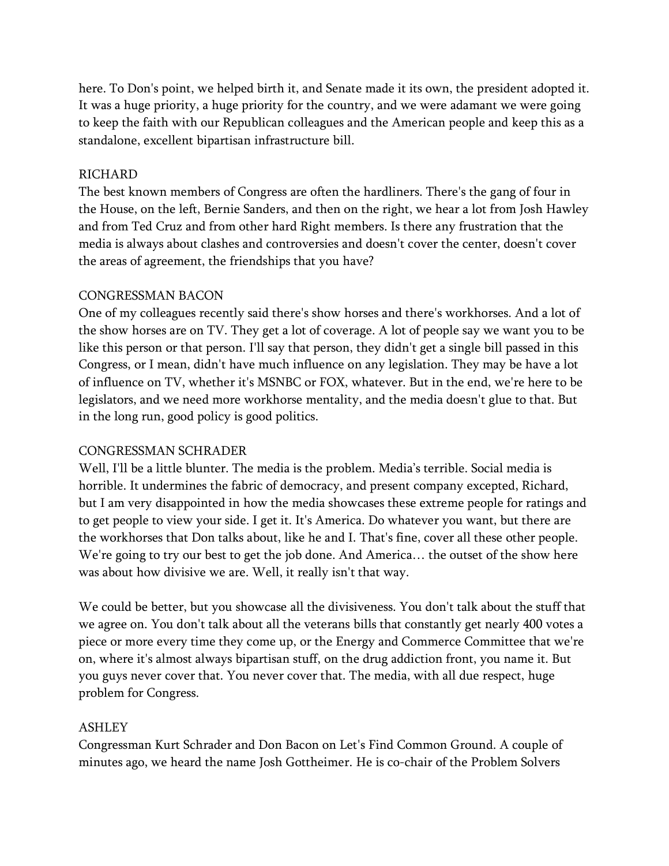here. To Don's point, we helped birth it, and Senate made it its own, the president adopted it. It was a huge priority, a huge priority for the country, and we were adamant we were going to keep the faith with our Republican colleagues and the American people and keep this as a standalone, excellent bipartisan infrastructure bill.

#### RICHARD

The best known members of Congress are often the hardliners. There's the gang of four in the House, on the left, Bernie Sanders, and then on the right, we hear a lot from Josh Hawley and from Ted Cruz and from other hard Right members. Is there any frustration that the media is always about clashes and controversies and doesn't cover the center, doesn't cover the areas of agreement, the friendships that you have?

#### CONGRESSMAN BACON

One of my colleagues recently said there's show horses and there's workhorses. And a lot of the show horses are on TV. They get a lot of coverage. A lot of people say we want you to be like this person or that person. I'll say that person, they didn't get a single bill passed in this Congress, or I mean, didn't have much influence on any legislation. They may be have a lot of influence on TV, whether it's MSNBC or FOX, whatever. But in the end, we're here to be legislators, and we need more workhorse mentality, and the media doesn't glue to that. But in the long run, good policy is good politics.

### CONGRESSMAN SCHRADER

Well, I'll be a little blunter. The media is the problem. Media's terrible. Social media is horrible. It undermines the fabric of democracy, and present company excepted, Richard, but I am very disappointed in how the media showcases these extreme people for ratings and to get people to view your side. I get it. It's America. Do whatever you want, but there are the workhorses that Don talks about, like he and I. That's fine, cover all these other people. We're going to try our best to get the job done. And America… the outset of the show here was about how divisive we are. Well, it really isn't that way.

We could be better, but you showcase all the divisiveness. You don't talk about the stuff that we agree on. You don't talk about all the veterans bills that constantly get nearly 400 votes a piece or more every time they come up, or the Energy and Commerce Committee that we're on, where it's almost always bipartisan stuff, on the drug addiction front, you name it. But you guys never cover that. You never cover that. The media, with all due respect, huge problem for Congress.

### ASHLEY

Congressman Kurt Schrader and Don Bacon on Let's Find Common Ground. A couple of minutes ago, we heard the name Josh Gottheimer. He is co-chair of the Problem Solvers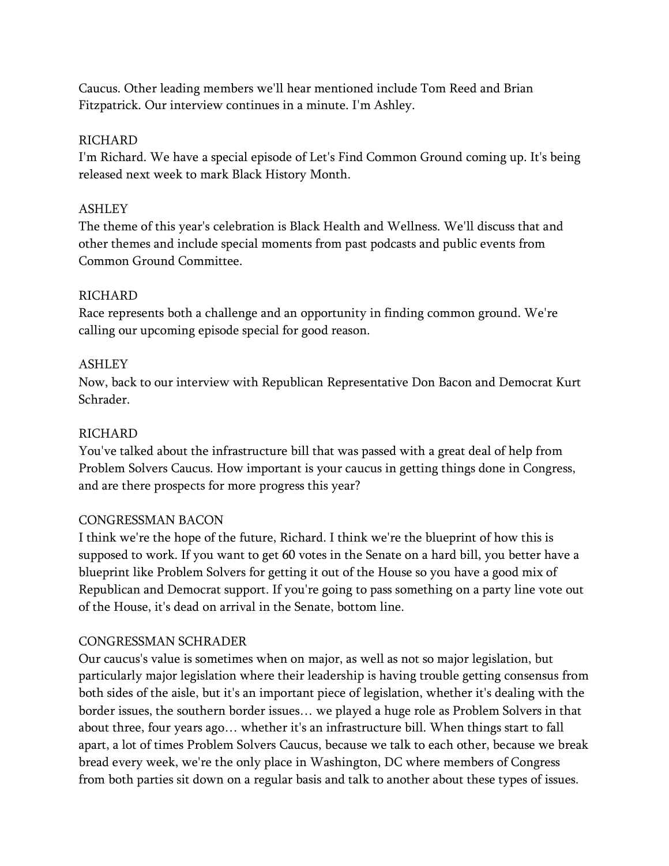Caucus. Other leading members we'll hear mentioned include Tom Reed and Brian Fitzpatrick. Our interview continues in a minute. I'm Ashley.

### RICHARD

I'm Richard. We have a special episode of Let's Find Common Ground coming up. It's being released next week to mark Black History Month.

## ASHLEY

The theme of this year's celebration is Black Health and Wellness. We'll discuss that and other themes and include special moments from past podcasts and public events from Common Ground Committee.

## RICHARD

Race represents both a challenge and an opportunity in finding common ground. We're calling our upcoming episode special for good reason.

## ASHLEY

Now, back to our interview with Republican Representative Don Bacon and Democrat Kurt Schrader.

## RICHARD

You've talked about the infrastructure bill that was passed with a great deal of help from Problem Solvers Caucus. How important is your caucus in getting things done in Congress, and are there prospects for more progress this year?

# CONGRESSMAN BACON

I think we're the hope of the future, Richard. I think we're the blueprint of how this is supposed to work. If you want to get 60 votes in the Senate on a hard bill, you better have a blueprint like Problem Solvers for getting it out of the House so you have a good mix of Republican and Democrat support. If you're going to pass something on a party line vote out of the House, it's dead on arrival in the Senate, bottom line.

# CONGRESSMAN SCHRADER

Our caucus's value is sometimes when on major, as well as not so major legislation, but particularly major legislation where their leadership is having trouble getting consensus from both sides of the aisle, but it's an important piece of legislation, whether it's dealing with the border issues, the southern border issues… we played a huge role as Problem Solvers in that about three, four years ago… whether it's an infrastructure bill. When things start to fall apart, a lot of times Problem Solvers Caucus, because we talk to each other, because we break bread every week, we're the only place in Washington, DC where members of Congress from both parties sit down on a regular basis and talk to another about these types of issues.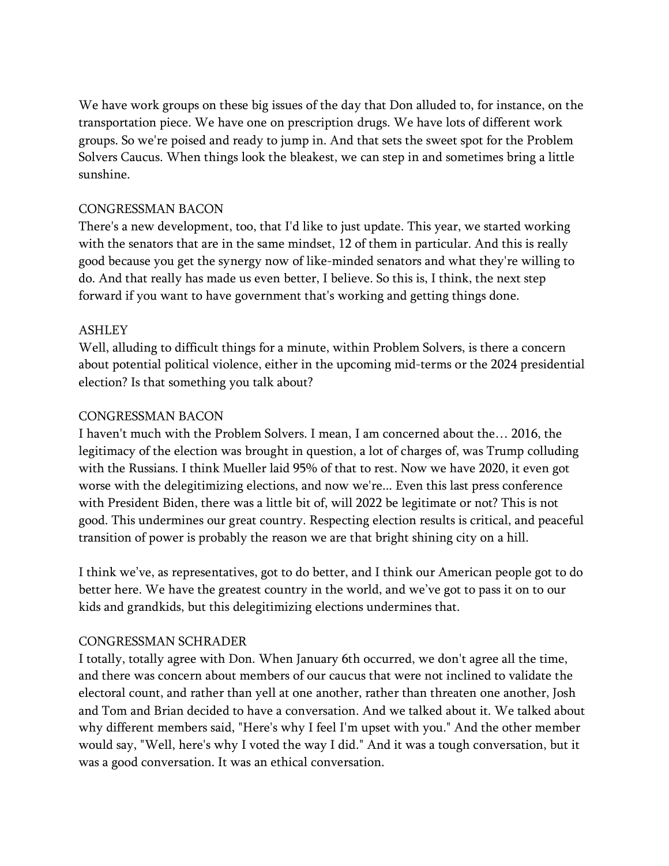We have work groups on these big issues of the day that Don alluded to, for instance, on the transportation piece. We have one on prescription drugs. We have lots of different work groups. So we're poised and ready to jump in. And that sets the sweet spot for the Problem Solvers Caucus. When things look the bleakest, we can step in and sometimes bring a little sunshine.

## CONGRESSMAN BACON

There's a new development, too, that I'd like to just update. This year, we started working with the senators that are in the same mindset, 12 of them in particular. And this is really good because you get the synergy now of like-minded senators and what they're willing to do. And that really has made us even better, I believe. So this is, I think, the next step forward if you want to have government that's working and getting things done.

## ASHLEY

Well, alluding to difficult things for a minute, within Problem Solvers, is there a concern about potential political violence, either in the upcoming mid-terms or the 2024 presidential election? Is that something you talk about?

## CONGRESSMAN BACON

I haven't much with the Problem Solvers. I mean, I am concerned about the… 2016, the legitimacy of the election was brought in question, a lot of charges of, was Trump colluding with the Russians. I think Mueller laid 95% of that to rest. Now we have 2020, it even got worse with the delegitimizing elections, and now we're... Even this last press conference with President Biden, there was a little bit of, will 2022 be legitimate or not? This is not good. This undermines our great country. Respecting election results is critical, and peaceful transition of power is probably the reason we are that bright shining city on a hill.

I think we've, as representatives, got to do better, and I think our American people got to do better here. We have the greatest country in the world, and we've got to pass it on to our kids and grandkids, but this delegitimizing elections undermines that.

### CONGRESSMAN SCHRADER

I totally, totally agree with Don. When January 6th occurred, we don't agree all the time, and there was concern about members of our caucus that were not inclined to validate the electoral count, and rather than yell at one another, rather than threaten one another, Josh and Tom and Brian decided to have a conversation. And we talked about it. We talked about why different members said, "Here's why I feel I'm upset with you." And the other member would say, "Well, here's why I voted the way I did." And it was a tough conversation, but it was a good conversation. It was an ethical conversation.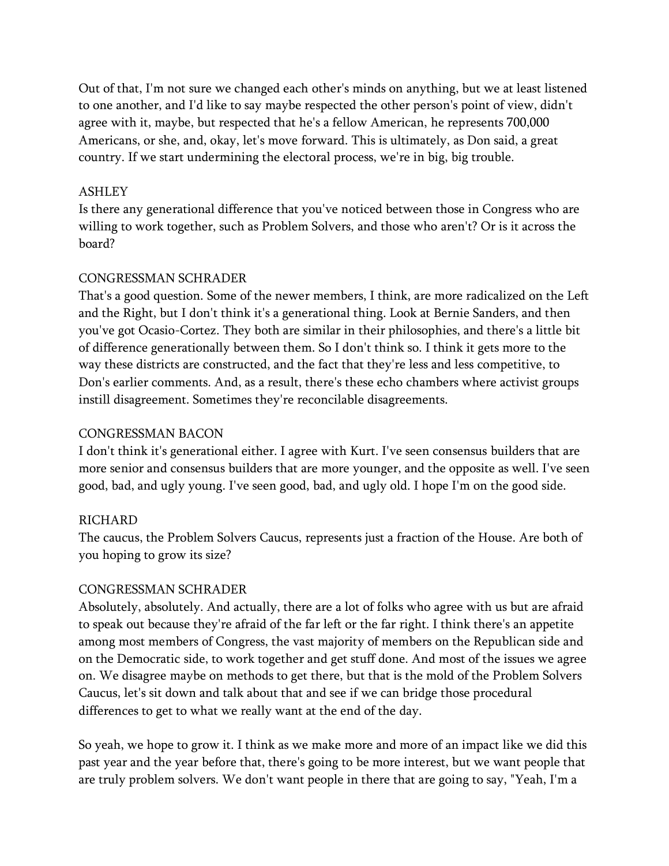Out of that, I'm not sure we changed each other's minds on anything, but we at least listened to one another, and I'd like to say maybe respected the other person's point of view, didn't agree with it, maybe, but respected that he's a fellow American, he represents 700,000 Americans, or she, and, okay, let's move forward. This is ultimately, as Don said, a great country. If we start undermining the electoral process, we're in big, big trouble.

#### ASHLEY

Is there any generational difference that you've noticed between those in Congress who are willing to work together, such as Problem Solvers, and those who aren't? Or is it across the board?

#### CONGRESSMAN SCHRADER

That's a good question. Some of the newer members, I think, are more radicalized on the Left and the Right, but I don't think it's a generational thing. Look at Bernie Sanders, and then you've got Ocasio-Cortez. They both are similar in their philosophies, and there's a little bit of difference generationally between them. So I don't think so. I think it gets more to the way these districts are constructed, and the fact that they're less and less competitive, to Don's earlier comments. And, as a result, there's these echo chambers where activist groups instill disagreement. Sometimes they're reconcilable disagreements.

#### CONGRESSMAN BACON

I don't think it's generational either. I agree with Kurt. I've seen consensus builders that are more senior and consensus builders that are more younger, and the opposite as well. I've seen good, bad, and ugly young. I've seen good, bad, and ugly old. I hope I'm on the good side.

### RICHARD

The caucus, the Problem Solvers Caucus, represents just a fraction of the House. Are both of you hoping to grow its size?

#### CONGRESSMAN SCHRADER

Absolutely, absolutely. And actually, there are a lot of folks who agree with us but are afraid to speak out because they're afraid of the far left or the far right. I think there's an appetite among most members of Congress, the vast majority of members on the Republican side and on the Democratic side, to work together and get stuff done. And most of the issues we agree on. We disagree maybe on methods to get there, but that is the mold of the Problem Solvers Caucus, let's sit down and talk about that and see if we can bridge those procedural differences to get to what we really want at the end of the day.

So yeah, we hope to grow it. I think as we make more and more of an impact like we did this past year and the year before that, there's going to be more interest, but we want people that are truly problem solvers. We don't want people in there that are going to say, "Yeah, I'm a